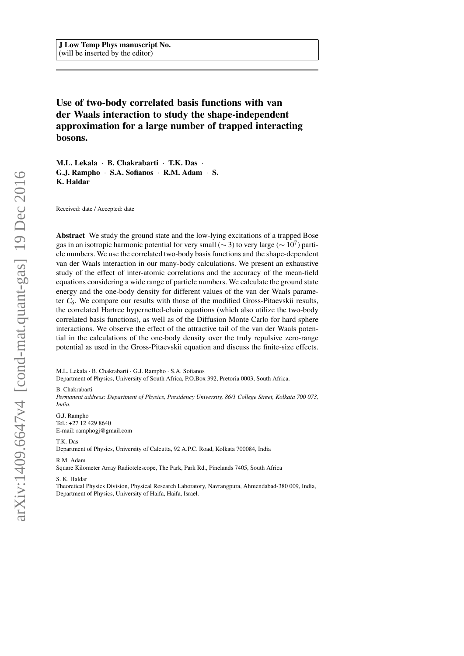# Use of two-body correlated basis functions with van der Waals interaction to study the shape-independent approximation for a large number of trapped interacting bosons.

M.L. Lekala · B. Chakrabarti · T.K. Das · G.J. Rampho · S.A. Sofianos · R.M. Adam · S. K. Haldar

Received: date / Accepted: date

Abstract We study the ground state and the low-lying excitations of a trapped Bose gas in an isotropic harmonic potential for very small ( $\sim$  3) to very large ( $\sim$  10<sup>7</sup>) particle numbers. We use the correlated two-body basis functions and the shape-dependent van der Waals interaction in our many-body calculations. We present an exhaustive study of the effect of inter-atomic correlations and the accuracy of the mean-field equations considering a wide range of particle numbers. We calculate the ground state energy and the one-body density for different values of the van der Waals parameter  $C_6$ . We compare our results with those of the modified Gross-Pitaevskii results, the correlated Hartree hypernetted-chain equations (which also utilize the two-body correlated basis functions), as well as of the Diffusion Monte Carlo for hard sphere interactions. We observe the effect of the attractive tail of the van der Waals potential in the calculations of the one-body density over the truly repulsive zero-range potential as used in the Gross-Pitaevskii equation and discuss the finite-size effects.

Department of Physics, University of South Africa, P.O.Box 392, Pretoria 0003, South Africa.

B. Chakrabarti

G.J. Rampho Tel.: +27 12 429 8640 E-mail: ramphogj@gmail.com

T.K. Das

Department of Physics, University of Calcutta, 92 A.P.C. Road, Kolkata 700084, India

R.M. Adam

Square Kilometer Array Radiotelescope, The Park, Park Rd., Pinelands 7405, South Africa

S. K. Haldar

Theoretical Physics Division, Physical Research Laboratory, Navrangpura, Ahmendabad-380 009, India, Department of Physics, University of Haifa, Haifa, Israel.

M.L. Lekala · B. Chakrabarti · G.J. Rampho · S.A. Sofianos

*Permanent address: Department of Physics, Presidency University, 86/1 College Street, Kolkata 700 073, India.*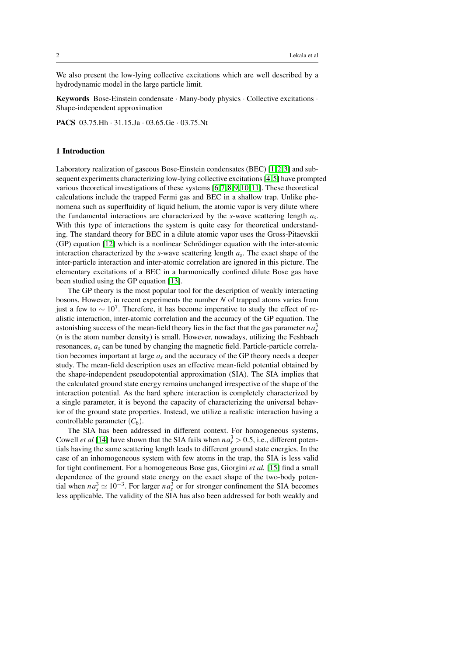We also present the low-lying collective excitations which are well described by a hydrodynamic model in the large particle limit.

Keywords Bose-Einstein condensate · Many-body physics · Collective excitations · Shape-independent approximation

PACS 03.75.Hh · 31.15.Ja · 03.65.Ge · 03.75.Nt

## 1 Introduction

Laboratory realization of gaseous Bose-Einstein condensates (BEC) [\[1,](#page-17-0)2,3] and subsequent experiments characterizing low-lying collective excitations [\[4,](#page-17-3) [5\]](#page-17-4) have prompted various theoretical investigations of these systems [\[6,](#page-17-5) [7,](#page-17-6) [8,](#page-17-7) [9,](#page-17-8) [10,](#page-17-9) [11\]](#page-17-10). These theoretical calculations include the trapped Fermi gas and BEC in a shallow trap. Unlike phenomena such as superfluidity of liquid helium, the atomic vapor is very dilute where the fundamental interactions are characterized by the *s*-wave scattering length *a<sup>s</sup>* . With this type of interactions the system is quite easy for theoretical understanding. The standard theory for BEC in a dilute atomic vapor uses the Gross-Pitaevskii  $(GP)$  equation  $[12]$  which is a nonlinear Schrödinger equation with the inter-atomic interaction characterized by the *s*-wave scattering length *a<sup>s</sup>* . The exact shape of the inter-particle interaction and inter-atomic correlation are ignored in this picture. The elementary excitations of a BEC in a harmonically confined dilute Bose gas have been studied using the GP equation [\[13\]](#page-17-12).

The GP theory is the most popular tool for the description of weakly interacting bosons. However, in recent experiments the number *N* of trapped atoms varies from just a few to  $\sim 10^7$ . Therefore, it has become imperative to study the effect of realistic interaction, inter-atomic correlation and the accuracy of the GP equation. The astonishing success of the mean-field theory lies in the fact that the gas parameter  $na_s^3$ (*n* is the atom number density) is small. However, nowadays, utilizing the Feshbach resonances,  $a<sub>s</sub>$  can be tuned by changing the magnetic field. Particle-particle correlation becomes important at large *a<sup>s</sup>* and the accuracy of the GP theory needs a deeper study. The mean-field description uses an effective mean-field potential obtained by the shape-independent pseudopotential approximation (SIA). The SIA implies that the calculated ground state energy remains unchanged irrespective of the shape of the interaction potential. As the hard sphere interaction is completely characterized by a single parameter, it is beyond the capacity of characterizing the universal behavior of the ground state properties. Instead, we utilize a realistic interaction having a controllable parameter  $(C_6)$ .

The SIA has been addressed in different context. For homogeneous systems, Cowell *et al* [\[14\]](#page-17-13) have shown that the SIA fails when  $na_s^3 > 0.5$ , i.e., different potentials having the same scattering length leads to different ground state energies. In the case of an inhomogeneous system with few atoms in the trap, the SIA is less valid for tight confinement. For a homogeneous Bose gas, Giorgini *et al.* [\[15\]](#page-17-14) find a small dependence of the ground state energy on the exact shape of the two-body potential when  $na_s^3 \simeq 10^{-3}$ . For larger  $na_s^3$  or for stronger confinement the SIA becomes less applicable. The validity of the SIA has also been addressed for both weakly and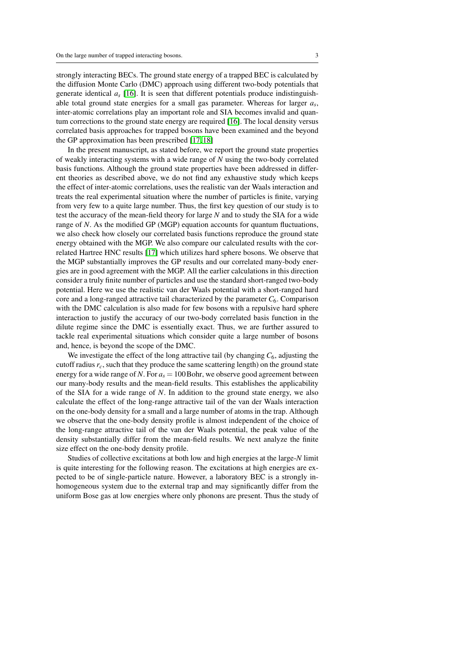strongly interacting BECs. The ground state energy of a trapped BEC is calculated by the diffusion Monte Carlo (DMC) approach using different two-body potentials that generate identical  $a_s$  [\[16\]](#page-17-15). It is seen that different potentials produce indistinguishable total ground state energies for a small gas parameter. Whereas for larger *a<sup>s</sup>* , inter-atomic correlations play an important role and SIA becomes invalid and quantum corrections to the ground state energy are required [\[16\]](#page-17-15). The local density versus correlated basis approaches for trapped bosons have been examined and the beyond the GP approximation has been prescribed [\[17,](#page-17-16) [18\]](#page-17-17)

In the present manuscript, as stated before, we report the ground state properties of weakly interacting systems with a wide range of *N* using the two-body correlated basis functions. Although the ground state properties have been addressed in different theories as described above, we do not find any exhaustive study which keeps the effect of inter-atomic correlations, uses the realistic van der Waals interaction and treats the real experimental situation where the number of particles is finite, varying from very few to a quite large number. Thus, the first key question of our study is to test the accuracy of the mean-field theory for large *N* and to study the SIA for a wide range of *N*. As the modified GP (MGP) equation accounts for quantum fluctuations, we also check how closely our correlated basis functions reproduce the ground state energy obtained with the MGP. We also compare our calculated results with the correlated Hartree HNC results [\[17\]](#page-17-16) which utilizes hard sphere bosons. We observe that the MGP substantially improves the GP results and our correlated many-body energies are in good agreement with the MGP. All the earlier calculations in this direction consider a truly finite number of particles and use the standard short-ranged two-body potential. Here we use the realistic van der Waals potential with a short-ranged hard core and a long-ranged attractive tail characterized by the parameter  $C_6$ . Comparison with the DMC calculation is also made for few bosons with a repulsive hard sphere interaction to justify the accuracy of our two-body correlated basis function in the dilute regime since the DMC is essentially exact. Thus, we are further assured to tackle real experimental situations which consider quite a large number of bosons and, hence, is beyond the scope of the DMC.

We investigate the effect of the long attractive tail (by changing  $C_6$ , adjusting the cutoff radius  $r_c$ , such that they produce the same scattering length) on the ground state energy for a wide range of *N*. For  $a_s = 100$  Bohr, we observe good agreement between our many-body results and the mean-field results. This establishes the applicability of the SIA for a wide range of *N*. In addition to the ground state energy, we also calculate the effect of the long-range attractive tail of the van der Waals interaction on the one-body density for a small and a large number of atoms in the trap. Although we observe that the one-body density profile is almost independent of the choice of the long-range attractive tail of the van der Waals potential, the peak value of the density substantially differ from the mean-field results. We next analyze the finite size effect on the one-body density profile.

Studies of collective excitations at both low and high energies at the large-*N* limit is quite interesting for the following reason. The excitations at high energies are expected to be of single-particle nature. However, a laboratory BEC is a strongly inhomogeneous system due to the external trap and may significantly differ from the uniform Bose gas at low energies where only phonons are present. Thus the study of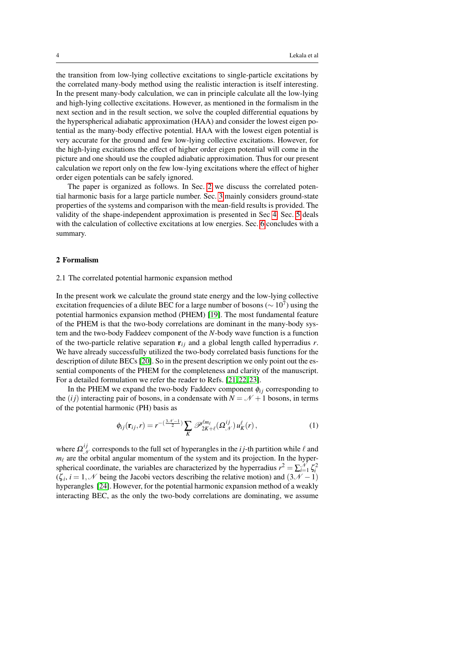the transition from low-lying collective excitations to single-particle excitations by the correlated many-body method using the realistic interaction is itself interesting. In the present many-body calculation, we can in principle calculate all the low-lying and high-lying collective excitations. However, as mentioned in the formalism in the next section and in the result section, we solve the coupled differential equations by the hyperspherical adiabatic approximation (HAA) and consider the lowest eigen potential as the many-body effective potential. HAA with the lowest eigen potential is very accurate for the ground and few low-lying collective excitations. However, for the high-lying excitations the effect of higher order eigen potential will come in the picture and one should use the coupled adiabatic approximation. Thus for our present calculation we report only on the few low-lying excitations where the effect of higher order eigen potentials can be safely ignored.

The paper is organized as follows. In Sec. [2](#page-3-0) we discuss the correlated potential harmonic basis for a large particle number. Sec. [3](#page-6-0) mainly considers ground-state properties of the systems and comparison with the mean-field results is provided. The validity of the shape-independent approximation is presented in Sec [4.](#page-10-0) Sec. [5](#page-12-0) deals with the calculation of collective excitations at low energies. Sec. [6](#page-16-0) concludes with a summary.

## <span id="page-3-0"></span>2 Formalism

## 2.1 The correlated potential harmonic expansion method

In the present work we calculate the ground state energy and the low-lying collective excitation frequencies of a dilute BEC for a large number of bosons ( $\sim 10^7$ ) using the potential harmonics expansion method (PHEM) [\[19\]](#page-17-18). The most fundamental feature of the PHEM is that the two-body correlations are dominant in the many-body system and the two-body Faddeev component of the *N*-body wave function is a function of the two-particle relative separation  $\mathbf{r}_{ij}$  and a global length called hyperradius *r*. We have already successfully utilized the two-body correlated basis functions for the description of dilute BECs [\[20\]](#page-17-19). So in the present description we only point out the essential components of the PHEM for the completeness and clarity of the manuscript. For a detailed formulation we refer the reader to Refs. [\[21,](#page-18-0) [22,](#page-18-1) [23\]](#page-18-2).

In the PHEM we expand the two-body Faddeev component  $\phi_{ij}$  corresponding to the (*ij*) interacting pair of bosons, in a condensate with  $N = \mathcal{N} + 1$  bosons, in terms of the potential harmonic (PH) basis as

<span id="page-3-1"></span>
$$
\phi_{ij}(\mathbf{r}_{ij},r) = r^{-\left(\frac{3\mathcal{N}-1}{2}\right)} \sum_{K} \mathscr{P}_{2K+\ell}^{\ell m_{\ell}}(\Omega_{\mathcal{N}}^{ij}) u_{K}^{\ell}(r), \qquad (1)
$$

where  $\Omega^{ij}_{\mathcal{N}}$  corresponds to the full set of hyperangles in the *i* j-th partition while  $\ell$  and  $m_\ell$  are the orbital angular momentum of the system and its projection. In the hyperspherical coordinate, the variables are characterized by the hyperradius  $r^2 = \sum_{i=1}^{\mathcal{N}} \zeta_i^2$  $(\zeta_i, i = 1, \mathcal{N}$  being the Jacobi vectors describing the relative motion) and  $(3\mathcal{N} - 1)$ hyperangles [\[24\]](#page-18-3). However, for the potential harmonic expansion method of a weakly interacting BEC, as the only the two-body correlations are dominating, we assume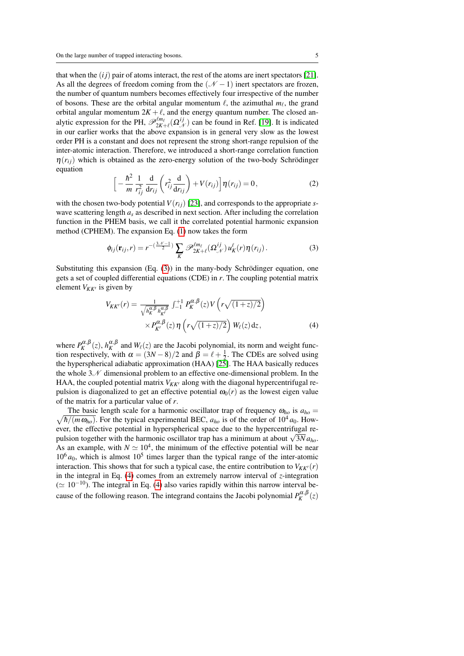that when the  $(ij)$  pair of atoms interact, the rest of the atoms are inert spectators [\[21\]](#page-18-0). As all the degrees of freedom coming from the  $(\mathcal{N} - 1)$  inert spectators are frozen, the number of quantum numbers becomes effectively four irrespective of the number of bosons. These are the orbital angular momentum  $\ell$ , the azimuthal  $m_\ell$ , the grand orbital angular momentum  $2K + \ell$ , and the energy quantum number. The closed analytic expression for the PH,  $\mathscr{P}_{2K+\ell}^{lm}(\Omega^{ij}_{\mathscr{N}})$  can be found in Ref. [\[19\]](#page-17-18). It is indicated in our earlier works that the above expansion is in general very slow as the lowest order PH is a constant and does not represent the strong short-range repulsion of the inter-atomic interaction. Therefore, we introduced a short-range correlation function  $\eta(r_{ij})$  which is obtained as the zero-energy solution of the two-body Schrödinger equation

<span id="page-4-2"></span>
$$
\left[-\frac{\hbar^2}{m}\frac{1}{r_{ij}^2}\frac{\mathrm{d}}{\mathrm{d}r_{ij}}\left(r_{ij}^2\frac{\mathrm{d}}{\mathrm{d}r_{ij}}\right)+V(r_{ij})\right]\eta(r_{ij})=0,\tag{2}
$$

with the chosen two-body potential  $V(r_{ii})$  [\[23\]](#page-18-2), and corresponds to the appropriate *s*wave scattering length  $a<sub>s</sub>$  as described in next section. After including the correlation function in the PHEM basis, we call it the correlated potential harmonic expansion method (CPHEM). The expansion Eq. [\(1\)](#page-3-1) now takes the form

<span id="page-4-0"></span>
$$
\phi_{ij}(\mathbf{r}_{ij},r) = r^{-\left(\frac{3\mathcal{N}-1}{2}\right)} \sum_{K} \mathscr{P}_{2K+\ell}^{\ell m_{\ell}}(\Omega_{\mathcal{N}}^{ij}) u_{K}^{\ell}(r) \eta(r_{ij}). \tag{3}
$$

Substituting this expansion  $(Eq. (3))$  $(Eq. (3))$  $(Eq. (3))$  in the many-body Schrödinger equation, one gets a set of coupled differential equations (CDE) in *r*. The coupling potential matrix element  $V_{KK'}$  is given by

<span id="page-4-1"></span>
$$
V_{KK'}(r) = \frac{1}{\sqrt{h_K^{\alpha,\beta} h_{K'}^{\alpha,\beta}}} \int_{-1}^{+1} P_K^{\alpha,\beta}(z) V(r\sqrt{(1+z)/2}) \times P_{K'}^{\alpha,\beta}(z) \eta\left(r\sqrt{(1+z)/2}\right) W_{\ell}(z) dz,
$$
\n(4)

where  $P_K^{\alpha,\beta}(z)$ ,  $h_K^{\alpha,\beta}$  and  $W_\ell(z)$  are the Jacobi polynomial, its norm and weight function respectively, with  $\alpha = (3N - 8)/2$  and  $\beta = \ell + \frac{1}{2}$ . The CDEs are solved using the hyperspherical adiabatic approximation (HAA) [\[25\]](#page-18-4). The HAA basically reduces the whole  $3\mathcal{N}$  dimensional problem to an effective one-dimensional problem. In the HAA, the coupled potential matrix  $V_{KK'}$  along with the diagonal hypercentrifugal repulsion is diagonalized to get an effective potential  $\omega_0(r)$  as the lowest eigen value of the matrix for a particular value of *r*.

 $\sqrt{\hbar/(m \omega_{ho})}$ . For the typical experimental BEC,  $a_{ho}$  is of the order of 10<sup>4</sup>  $a_0$ . How-The basic length scale for a harmonic oscillator trap of frequency  $\omega_{ho}$  is  $a_{ho}$ ever, the effective potential in hyperspherical space due to the hypercentrifugal reever, the effective potential in hyperspherical space due to the hypercentrifugal repulsion together with the harmonic oscillator trap has a minimum at about  $\sqrt{3N}a_{ho}$ . As an example, with  $N \simeq 10^4$ , the minimum of the effective potential will be near  $10<sup>6</sup> a<sub>0</sub>$ , which is almost  $10<sup>5</sup>$  times larger than the typical range of the inter-atomic interaction. This shows that for such a typical case, the entire contribution to  $V_{KK'}(r)$ in the integral in Eq. [\(4\)](#page-4-1) comes from an extremely narrow interval of *z*-integration  $( \simeq 10^{-10})$ . The integral in Eq. [\(4\)](#page-4-1) also varies rapidly within this narrow interval because of the following reason. The integrand contains the Jacobi polynomial  $P_K^{\alpha,\beta}(z)$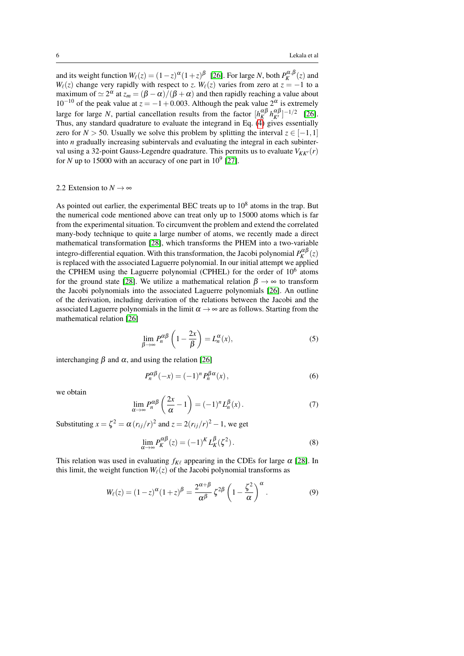and its weight function  $W_\ell(z) = (1-z)^\alpha (1+z)^\beta$  [\[26\]](#page-18-5). For large *N*, both  $P_K^{\alpha,\beta}(z)$  and *W*<sub> $\ell$ </sub>(*z*) change very rapidly with respect to *z*. *W*<sub> $\ell$ </sub>(*z*) varies from zero at *z* = −1 to a maximum of  $\simeq 2^{\alpha}$  at  $z_m = (\beta - \alpha)/(\beta + \alpha)$  and then rapidly reaching a value about  $10^{-10}$  of the peak value at  $z = -1 + 0.003$ . Although the peak value  $2^{\alpha}$  is extremely large for large *N*, partial cancellation results from the factor  $[h_K^{\alpha\beta} h_{K'}^{\alpha\beta}]^{-1/2}$  [\[26\]](#page-18-5). Thus, any standard quadrature to evaluate the integrand in Eq. [\(4\)](#page-4-1) gives essentially zero for *N* > 50. Usually we solve this problem by splitting the interval  $z \in [-1,1]$ into *n* gradually increasing subintervals and evaluating the integral in each subinterval using a 32-point Gauss-Legendre quadrature. This permits us to evaluate  $V_{KK'}(r)$ for *N* up to 15000 with an accuracy of one part in  $10^9$  [\[27\]](#page-18-6).

## 2.2 Extension to  $N \rightarrow \infty$

As pointed out earlier, the experimental BEC treats up to  $10<sup>8</sup>$  atoms in the trap. But the numerical code mentioned above can treat only up to 15000 atoms which is far from the experimental situation. To circumvent the problem and extend the correlated many-body technique to quite a large number of atoms, we recently made a direct mathematical transformation [\[28\]](#page-18-7), which transforms the PHEM into a two-variable integro-differential equation. With this transformation, the Jacobi polynomial  $P_K^{\alpha\beta}(z)$ is replaced with the associated Laguerre polynomial. In our initial attempt we applied the CPHEM using the Laguerre polynomial (CPHEL) for the order of 10<sup>6</sup> atoms for the ground state [\[28\]](#page-18-7). We utilize a mathematical relation  $\beta \rightarrow \infty$  to transform the Jacobi polynomials into the associated Laguerre polynomials [\[26\]](#page-18-5). An outline of the derivation, including derivation of the relations between the Jacobi and the associated Laguerre polynomials in the limit  $\alpha \rightarrow \infty$  are as follows. Starting from the mathematical relation [\[26\]](#page-18-5)

$$
\lim_{\beta \to \infty} P_n^{\alpha \beta} \left( 1 - \frac{2x}{\beta} \right) = L_n^{\alpha}(x),\tag{5}
$$

interchanging  $β$  and  $α$ , and using the relation [\[26\]](#page-18-5)

$$
P_n^{\alpha\beta}(-x) = (-1)^n P_n^{\beta\alpha}(x),\tag{6}
$$

we obtain

$$
\lim_{\alpha \to \infty} P_n^{\alpha \beta} \left( \frac{2x}{\alpha} - 1 \right) = (-1)^n L_n^{\beta}(x).
$$
 (7)

Substituting  $x = \zeta^2 = \alpha (r_{ij}/r)^2$  and  $z = 2(r_{ij}/r)^2 - 1$ , we get

<span id="page-5-0"></span>
$$
\lim_{\alpha \to \infty} P_K^{\alpha \beta}(z) = (-1)^K L_K^{\beta}(\zeta^2).
$$
\n(8)

This relation was used in evaluating  $f_{K\ell}$  appearing in the CDEs for large  $\alpha$  [\[28\]](#page-18-7). In this limit, the weight function  $W_{\ell}(z)$  of the Jacobi polynomial transforms as

$$
W_{\ell}(z) = (1-z)^{\alpha}(1+z)^{\beta} = \frac{2^{\alpha+\beta}}{\alpha^{\beta}} \zeta^{2\beta} \left(1 - \frac{\zeta^2}{\alpha}\right)^{\alpha}.
$$
 (9)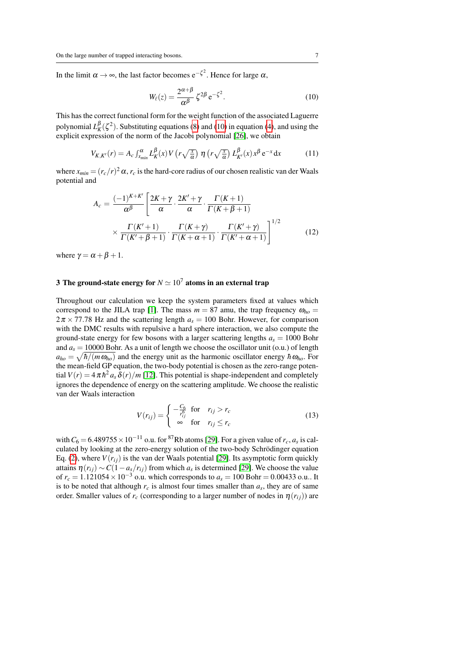In the limit  $\alpha \to \infty$ , the last factor becomes  $e^{-\zeta^2}$ . Hence for large  $\alpha$ ,

<span id="page-6-1"></span>
$$
W_{\ell}(z) = \frac{2^{\alpha+\beta}}{\alpha^{\beta}} \zeta^{2\beta} e^{-\zeta^2}.
$$
 (10)

This has the correct functional form for the weight function of the associated Laguerre polynomial  $L_K^{\beta}(\zeta^2)$ . Substituting equations [\(8\)](#page-5-0) and [\(10\)](#page-6-1) in equation [\(4\)](#page-4-1), and using the explicit expression of the norm of the Jacobi polynomial [\[26\]](#page-18-5), we obtain

$$
V_{K,K'}(r) = A_c \int_{x_{min}}^{\alpha} L_K^{\beta}(x) V\left(r\sqrt{\frac{x}{\alpha}}\right) \eta\left(r\sqrt{\frac{x}{\alpha}}\right) L_{K'}^{\beta}(x) x^{\beta} e^{-x} dx \tag{11}
$$

where  $x_{min} = (r_c/r)^2 \alpha$ ,  $r_c$  is the hard-core radius of our chosen realistic van der Waals potential and

$$
A_c = \frac{(-1)^{K+K'}}{\alpha \beta} \left[ \frac{2K+\gamma}{\alpha} \cdot \frac{2K'+\gamma}{\alpha} \cdot \frac{\Gamma(K+1)}{\Gamma(K+\beta+1)} \times \frac{\Gamma(K'+1)}{\Gamma(K'+\beta+1)} \cdot \frac{\Gamma(K+\gamma)}{\Gamma(K+\alpha+1)} \cdot \frac{\Gamma(K'+\gamma)}{\Gamma(K'+\alpha+1)} \right]^{1/2}
$$
(12)

where  $\gamma = \alpha + \beta + 1$ .

## <span id="page-6-0"></span>3 The ground-state energy for  $N \simeq 10^7$  atoms in an external trap

Throughout our calculation we keep the system parameters fixed at values which correspond to the JILA trap [\[1\]](#page-17-0). The mass  $m = 87$  amu, the trap frequency  $\omega_{ho} =$  $2\pi \times 77.78$  Hz and the scattering length  $a_s = 100$  Bohr. However, for comparison with the DMC results with repulsive a hard sphere interaction, we also compute the ground-state energy for few bosons with a larger scattering lengths  $a_s = 1000$  Bohr and  $a_s = 10000$  Bohr. As a unit of length we choose the oscillator unit (0.u.) of length  $a_{ho} = \sqrt{\hbar/(m \omega_{ho})}$  and the energy unit as the harmonic oscillator energy  $\hbar \omega_{ho}$ . For the mean-field GP equation, the two-body potential is chosen as the zero-range potential  $V(r) = 4 \pi \hbar^2 a_s \delta(r)/m$  [\[12\]](#page-17-11). This potential is shape-independent and completely ignores the dependence of energy on the scattering amplitude. We choose the realistic van der Waals interaction

$$
V(r_{ij}) = \begin{cases} -\frac{C_6}{r_{ij}^6} & \text{for } r_{ij} > r_c \\ \infty & \text{for } r_{ij} \le r_c \end{cases}
$$
(13)

with  $C_6 = 6.489755 \times 10^{-11}$  o.u. for <sup>87</sup>Rb atoms [\[29\]](#page-18-8). For a given value of  $r_c$ ,  $a_s$  is calculated by looking at the zero-energy solution of the two-body Schrödinger equation Eq. [\(2\)](#page-4-2), where  $V(r_{ii})$  is the van der Waals potential [\[29\]](#page-18-8). Its asymptotic form quickly attains  $\eta(r_{ij}) \sim C(1 - a_s/r_{ij})$  from which  $a_s$  is determined [\[29\]](#page-18-8). We choose the value of  $r_c = 1.121054 \times 10^{-3}$  o.u. which corresponds to  $a_s = 100$  Bohr = 0.00433 o.u.. It is to be noted that although  $r_c$  is almost four times smaller than  $a_s$ , they are of same order. Smaller values of  $r_c$  (corresponding to a larger number of nodes in  $\eta(r_{ii})$ ) are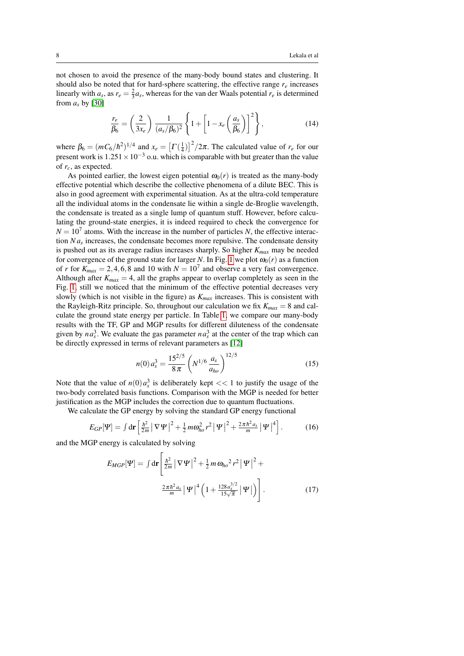not chosen to avoid the presence of the many-body bound states and clustering. It should also be noted that for hard-sphere scattering, the effective range  $r_e$  increases linearly with  $a_s$ , as  $r_e = \frac{2}{3}a_s$ , whereas for the van der Waals potential  $r_e$  is determined from  $a<sub>s</sub>$  by [\[30\]](#page-18-9)

$$
\frac{r_e}{\beta_6} = \left(\frac{2}{3x_e}\right) \frac{1}{(a_s/\beta_6)^2} \left\{ 1 + \left[1 - x_e \left(\frac{a_s}{\beta_6}\right)\right]^2 \right\},\tag{14}
$$

where  $\beta_6 = (mC_6/\hbar^2)^{1/4}$  and  $x_e = \left[\Gamma(\frac{1}{4})\right]^2/2\pi$ . The calculated value of  $r_e$  for our present work is  $1.251 \times 10^{-3}$  o.u. which is comparable with but greater than the value of *rc*, as expected.

As pointed earlier, the lowest eigen potential  $\omega_0(r)$  is treated as the many-body effective potential which describe the collective phenomena of a dilute BEC. This is also in good agreement with experimental situation. As at the ultra-cold temperature all the individual atoms in the condensate lie within a single de-Broglie wavelength, the condensate is treated as a single lump of quantum stuff. However, before calculating the ground-state energies, it is indeed required to check the convergence for  $N = 10<sup>7</sup>$  atoms. With the increase in the number of particles *N*, the effective interaction  $Na<sub>s</sub>$  increases, the condensate becomes more repulsive. The condensate density is pushed out as its average radius increases sharply. So higher *Kmax* may be needed for convergence of the ground state for larger *N*. In Fig. [1](#page-8-0) we plot  $\omega_0(r)$  as a function of *r* for  $K_{max} = 2, 4, 6, 8$  and 10 with  $N = 10<sup>7</sup>$  and observe a very fast convergence. Although after  $K_{max} = 4$ , all the graphs appear to overlap completely as seen in the Fig. [1,](#page-8-0) still we noticed that the minimum of the effective potential decreases very slowly (which is not visible in the figure) as *Kmax* increases. This is consistent with the Rayleigh-Ritz principle. So, throughout our calculation we fix  $K_{max} = 8$  and calculate the ground state energy per particle. In Table [1,](#page-8-1) we compare our many-body results with the TF, GP and MGP results for different diluteness of the condensate given by  $na_s^3$ . We evaluate the gas parameter  $na_s^3$  at the center of the trap which can be directly expressed in terms of relevant parameters as [\[12\]](#page-17-11)

$$
n(0) a_s^3 = \frac{15^{2/5}}{8\pi} \left( N^{1/6} \frac{a_s}{a_{ho}} \right)^{12/5}
$$
 (15)

Note that the value of  $n(0) a_s^3$  is deliberately kept  $<< 1$  to justify the usage of the two-body correlated basis functions. Comparison with the MGP is needed for better justification as the MGP includes the correction due to quantum fluctuations.

We calculate the GP energy by solving the standard GP energy functional

$$
E_{GP}[\Psi] = \int \mathrm{d}\mathbf{r} \left[ \frac{\hbar^2}{2m} \left| \nabla \Psi \right|^2 + \frac{1}{2} m \omega_{ho}^2 r^2 \left| \Psi \right|^2 + \frac{2\pi \hbar^2 a_s}{m} \left| \Psi \right|^4 \right]. \tag{16}
$$

and the MGP energy is calculated by solving

<span id="page-7-0"></span>
$$
E_{MGP}[\Psi] = \int \mathrm{d}\mathbf{r} \left[ \frac{\hbar^2}{2m} \left| \nabla \Psi \right|^2 + \frac{1}{2} m \omega_{ho}^2 r^2 \left| \Psi \right|^2 + \frac{2\pi \hbar^2 a_s}{m} \left| \Psi \right|^4 \left( 1 + \frac{128 a_s^{3/2}}{15\sqrt{\pi}} \left| \Psi \right| \right) \right]. \tag{17}
$$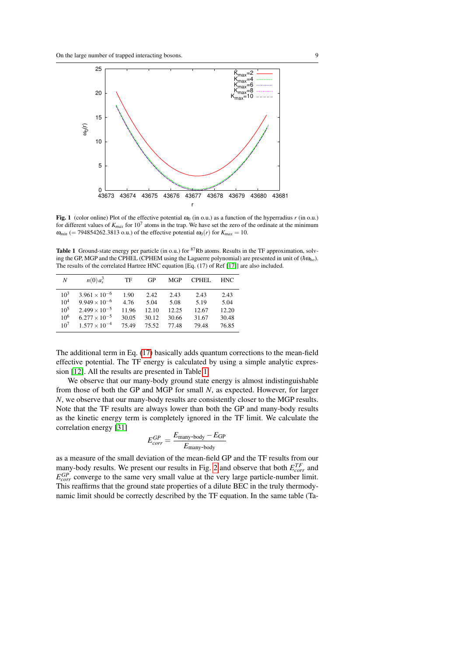

<span id="page-8-0"></span>Fig. 1 (color online) Plot of the effective potential  $\omega_0$  (in o.u.) as a function of the hyperradius *r* (in o.u.) for different values of  $K_{max}$  for 10<sup>7</sup> atoms in the trap. We have set the zero of the ordinate at the minimum  $\omega_{min}$  (= 794854262.3813 o.u.) of the effective potential  $\omega_0(r)$  for  $K_{max} = 10$ .

<span id="page-8-1"></span>Table 1 Ground-state energy per particle (in o.u.) for  ${}^{87}Rb$  atoms. Results in the TF approximation, solving the GP, MGP and the CPHEL (CPHEM using the Laguerre polynomial) are presented in unit of  $(h\omega_{ho})$ . The results of the correlated Hartree HNC equation [Eq. (17) of Ref [\[17\]](#page-17-16)] are also included.

| N               | $n(0) a_s^3$           | TF    | GP    | <b>MGP</b> | CPHEL | HNC.  |
|-----------------|------------------------|-------|-------|------------|-------|-------|
| $10^3$          | $3.961 \times 10^{-6}$ | 1.90  | 2.42  | 2.43       | 2.43  | 2.43  |
| 10 <sup>4</sup> | $9.949 \times 10^{-6}$ | 4.76  | 5.04  | 5.08       | 5.19  | 5.04  |
| 10 <sup>5</sup> | $2.499 \times 10^{-5}$ | 11.96 | 12.10 | 12.25      | 12.67 | 12.20 |
| 10 <sup>6</sup> | $6.277 \times 10^{-5}$ | 30.05 | 30.12 | 30.66      | 31.67 | 30.48 |
| 10 <sup>7</sup> | $1.577 \times 10^{-4}$ | 75.49 | 75.52 | 77.48      | 79.48 | 76.85 |

The additional term in Eq. [\(17\)](#page-7-0) basically adds quantum corrections to the mean-field effective potential. The TF energy is calculated by using a simple analytic expression [\[12\]](#page-17-11). All the results are presented in Table [1.](#page-8-1)

We observe that our many-body ground state energy is almost indistinguishable from those of both the GP and MGP for small *N*, as expected. However, for larger *N*, we observe that our many-body results are consistently closer to the MGP results. Note that the TF results are always lower than both the GP and many-body results as the kinetic energy term is completely ignored in the TF limit. We calculate the correlation energy [\[31\]](#page-18-10)

$$
E_{corr}^{GP} = \frac{E_{\text{many-body}} - E_{\text{GP}}}{E_{\text{many-body}}}
$$

as a measure of the small deviation of the mean-field GP and the TF results from our many-body results. We present our results in Fig. [2](#page-9-0) and observe that both  $E_{corr}^{TF}$  and *E GP corr* converge to the same very small value at the very large particle-number limit. This reaffirms that the ground state properties of a dilute BEC in the truly thermodynamic limit should be correctly described by the TF equation. In the same table (Ta-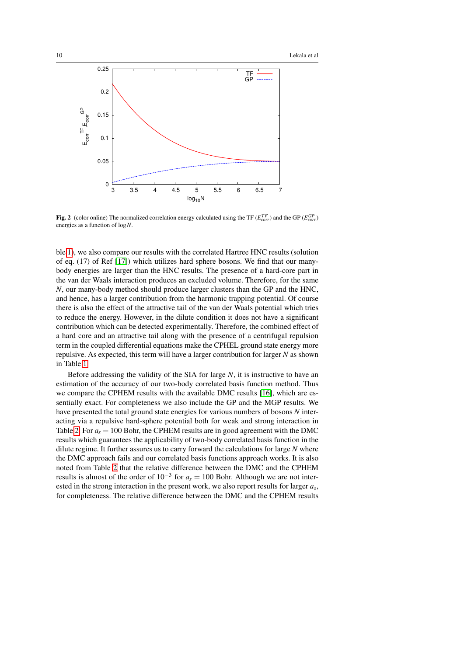

<span id="page-9-0"></span>Fig. 2 (color online) The normalized correlation energy calculated using the TF ( $E_{corr}^{TF}$ ) and the GP ( $E_{corr}^{GP}$ ) energies as a function of log*N*.

ble [1\)](#page-8-1), we also compare our results with the correlated Hartree HNC results (solution of eq. (17) of Ref [\[17\]](#page-17-16)) which utilizes hard sphere bosons. We find that our manybody energies are larger than the HNC results. The presence of a hard-core part in the van der Waals interaction produces an excluded volume. Therefore, for the same *N*, our many-body method should produce larger clusters than the GP and the HNC, and hence, has a larger contribution from the harmonic trapping potential. Of course there is also the effect of the attractive tail of the van der Waals potential which tries to reduce the energy. However, in the dilute condition it does not have a significant contribution which can be detected experimentally. Therefore, the combined effect of a hard core and an attractive tail along with the presence of a centrifugal repulsion term in the coupled differential equations make the CPHEL ground state energy more repulsive. As expected, this term will have a larger contribution for larger *N* as shown in Table [1.](#page-8-1)

Before addressing the validity of the SIA for large *N*, it is instructive to have an estimation of the accuracy of our two-body correlated basis function method. Thus we compare the CPHEM results with the available DMC results [\[16\]](#page-17-15), which are essentially exact. For completeness we also include the GP and the MGP results. We have presented the total ground state energies for various numbers of bosons *N* interacting via a repulsive hard-sphere potential both for weak and strong interaction in Table [2.](#page-10-1) For  $a_s = 100$  Bohr, the CPHEM results are in good agreement with the DMC results which guarantees the applicability of two-body correlated basis function in the dilute regime. It further assures us to carry forward the calculations for large *N* where the DMC approach fails and our correlated basis functions approach works. It is also noted from Table [2](#page-10-1) that the relative difference between the DMC and the CPHEM results is almost of the order of  $10^{-3}$  for  $a_s = 100$  Bohr. Although we are not interested in the strong interaction in the present work, we also report results for larger *a<sup>s</sup>* , for completeness. The relative difference between the DMC and the CPHEM results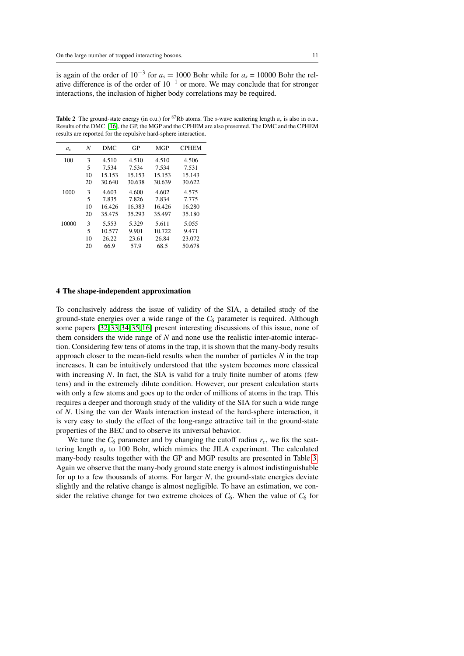is again of the order of  $10^{-3}$  for  $a_s = 1000$  Bohr while for  $a_s = 10000$  Bohr the relative difference is of the order of 10−<sup>1</sup> or more. We may conclude that for stronger interactions, the inclusion of higher body correlations may be required.

<span id="page-10-1"></span>**Table 2** The ground-state energy (in o.u.) for <sup>87</sup>Rb atoms. The *s*-wave scattering length  $a_s$  is also in o.u.. Results of the DMC [\[16\]](#page-17-15), the GP, the MGP and the CPHEM are also presented. The DMC and the CPHEM results are reported for the repulsive hard-sphere interaction.

| a <sub>s</sub> | N  | DMC    | GP     | <b>MGP</b> | <b>CPHEM</b> |
|----------------|----|--------|--------|------------|--------------|
| 100            | 3  | 4.510  | 4.510  | 4.510      | 4.506        |
|                | 5  | 7.534  | 7.534  | 7.534      | 7.531        |
|                | 10 | 15.153 | 15.153 | 15.153     | 15.143       |
|                | 20 | 30.640 | 30.638 | 30.639     | 30.622       |
| 1000           | 3  | 4.603  | 4.600  | 4.602      | 4.575        |
|                | 5  | 7.835  | 7.826  | 7.834      | 7.775        |
|                | 10 | 16.426 | 16.383 | 16.426     | 16.280       |
|                | 20 | 35.475 | 35.293 | 35.497     | 35.180       |
| 10000          | 3  | 5.553  | 5.329  | 5.611      | 5.055        |
|                | 5  | 10.577 | 9.901  | 10.722     | 9.471        |
|                | 10 | 26.22  | 23.61  | 26.84      | 23.072       |
|                | 20 | 66.9   | 57.9   | 68.5       | 50.678       |

#### <span id="page-10-0"></span>4 The shape-independent approximation

To conclusively address the issue of validity of the SIA, a detailed study of the ground-state energies over a wide range of the *C*<sup>6</sup> parameter is required. Although some papers [\[32,](#page-18-11) [33,](#page-18-12) [34,](#page-18-13) [35,](#page-18-14) [16\]](#page-17-15) present interesting discussions of this issue, none of them considers the wide range of *N* and none use the realistic inter-atomic interaction. Considering few tens of atoms in the trap, it is shown that the many-body results approach closer to the mean-field results when the number of particles *N* in the trap increases. It can be intuitively understood that tthe system becomes more classical with increasing *N*. In fact, the SIA is valid for a truly finite number of atoms (few tens) and in the extremely dilute condition. However, our present calculation starts with only a few atoms and goes up to the order of millions of atoms in the trap. This requires a deeper and thorough study of the validity of the SIA for such a wide range of *N*. Using the van der Waals interaction instead of the hard-sphere interaction, it is very easy to study the effect of the long-range attractive tail in the ground-state properties of the BEC and to observe its universal behavior.

We tune the  $C_6$  parameter and by changing the cutoff radius  $r_c$ , we fix the scattering length *a<sup>s</sup>* to 100 Bohr, which mimics the JILA experiment. The calculated many-body results together with the GP and MGP results are presented in Table [3.](#page-11-0) Again we observe that the many-body ground state energy is almost indistinguishable for up to a few thousands of atoms. For larger *N*, the ground-state energies deviate slightly and the relative change is almost negligible. To have an estimation, we consider the relative change for two extreme choices of  $C_6$ . When the value of  $C_6$  for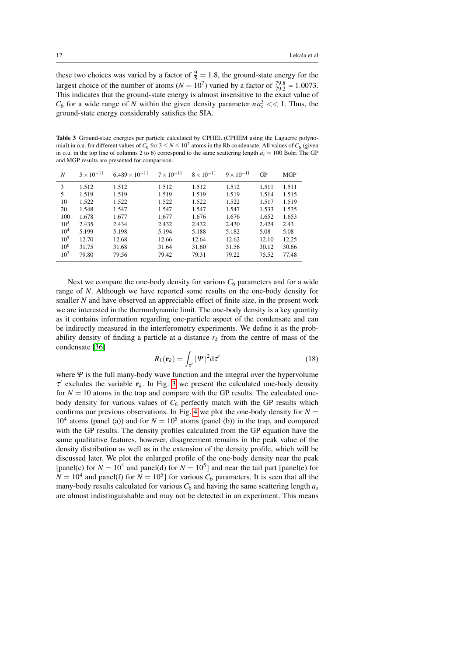these two choices was varied by a factor of  $\frac{9}{5} = 1.8$ , the ground-state energy for the largest choice of the number of atoms ( $N = 10^7$ ) varied by a factor of  $\frac{79.8}{79.2} = 1.0073$ . This indicates that the ground-state energy is almost insensitive to the exact value of  $C_6$  for a wide range of *N* within the given density parameter  $n a_s^3 \ll 1$ . Thus, the ground-state energy considerably satisfies the SIA.

<span id="page-11-0"></span>Table 3 Ground-state energies per particle calculated by CPHEL (CPHEM using the Laguerre polynomial) in o.u. for different values of  $C_6$  for  $3 \le N \le 10^7$  atoms in the Rb condensate. All values of  $C_6$  (given in o.u. in the top line of columns 2 to 6) correspond to the same scattering length  $a_s = 100$  Bohr. The GP and MGP results are presented for comparison.

| N               | $5 \times 10^{-11}$ | $6.489 \times 10^{-11}$ | $7 \times 10^{-11}$ | $8 \times 10^{-11}$ | $9 \times 10^{-11}$ | GP    | <b>MGP</b> |
|-----------------|---------------------|-------------------------|---------------------|---------------------|---------------------|-------|------------|
| 3               | 1.512               | 1.512                   | 1.512               | 1.512               | 1.512               | 1.511 | 1.511      |
| 5               | 1.519               | 1.519                   | 1.519               | 1.519               | 1.519               | 1.514 | 1.515      |
| 10              | 1.522               | 1.522                   | 1.522               | 1.522               | 1.522               | 1.517 | 1.519      |
| 20              | 1.548               | 1.547                   | 1.547               | 1.547               | 1.547               | 1.533 | 1.535      |
| 100             | 1.678               | 1.677                   | 1.677               | 1.676               | 1.676               | 1.652 | 1.653      |
| $10^3$          | 2.435               | 2.434                   | 2.432               | 2.432               | 2.430               | 2.424 | 2.43       |
| 10 <sup>4</sup> | 5.199               | 5.198                   | 5.194               | 5.188               | 5.182               | 5.08  | 5.08       |
| $10^5$          | 12.70               | 12.68                   | 12.66               | 12.64               | 12.62               | 12.10 | 12.25      |
| 10 <sup>6</sup> | 31.75               | 31.68                   | 31.64               | 31.60               | 31.56               | 30.12 | 30.66      |
| 10 <sup>7</sup> | 79.80               | 79.56                   | 79.42               | 79.31               | 79.22               | 75.52 | 77.48      |

Next we compare the one-body density for various  $C_6$  parameters and for a wide range of *N*. Although we have reported some results on the one-body density for smaller *N* and have observed an appreciable effect of finite size, in the present work we are interested in the thermodynamic limit. The one-body density is a key quantity as it contains information regarding one-particle aspect of the condensate and can be indirectly measured in the interferometry experiments. We define it as the probability density of finding a particle at a distance  $r_k$  from the centre of mass of the condensate [\[36\]](#page-18-15)

<span id="page-11-1"></span>
$$
R_1(\mathbf{r}_k) = \int_{\tau'} |\Psi|^2 \mathrm{d}\tau' \tag{18}
$$

where  $\Psi$  is the full many-body wave function and the integral over the hypervolume  $\tau'$  excludes the variable  $r_k$ . In Fig. [3](#page-12-1) we present the calculated one-body density for  $N = 10$  atoms in the trap and compare with the GP results. The calculated onebody density for various values of *C*<sup>6</sup> perfectly match with the GP results which confirms our previous observations. In Fig. [4](#page-13-0) we plot the one-body density for  $N =$  $10<sup>4</sup>$  atoms (panel (a)) and for  $N = 10<sup>5</sup>$  atoms (panel (b)) in the trap, and compared with the GP results. The density profiles calculated from the GP equation have the same qualitative features, however, disagreement remains in the peak value of the density distribution as well as in the extension of the density profile, which will be discussed later. We plot the enlarged profile of the one-body density near the peak [panel(c) for  $N = 10^4$  and panel(d) for  $N = 10^5$ ] and near the tail part [panel(e) for  $N = 10<sup>4</sup>$  and panel(f) for  $N = 10<sup>5</sup>$ ] for various  $C_6$  parameters. It is seen that all the many-body results calculated for various  $C_6$  and having the same scattering length  $a_s$ are almost indistinguishable and may not be detected in an experiment. This means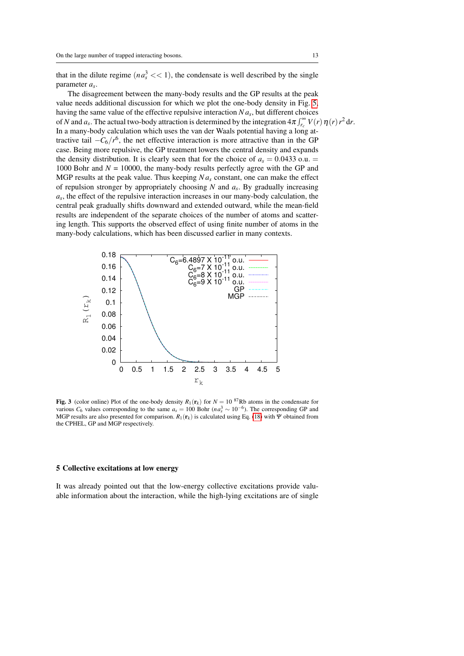that in the dilute regime  $(n a_s^3 \ll 1)$ , the condensate is well described by the single parameter *a<sup>s</sup>* .

The disagreement between the many-body results and the GP results at the peak value needs additional discussion for which we plot the one-body density in Fig. [5,](#page-14-0) having the same value of the effective repulsive interaction *N a<sup>s</sup>* , but different choices of *N* and  $a_s$ . The actual two-body attraction is determined by the integration  $4\pi \int_{r_c}^{\infty} V(r) \eta(r) r^2 dr$ . In a many-body calculation which uses the van der Waals potential having a long attractive tail  $-C_6/r^6$ , the net effective interaction is more attractive than in the GP case. Being more repulsive, the GP treatment lowers the central density and expands the density distribution. It is clearly seen that for the choice of  $a_s = 0.0433$  o.u.  $=$ 1000 Bohr and  $N = 10000$ , the many-body results perfectly agree with the GP and MGP results at the peak value. Thus keeping *N a<sup>s</sup>* constant, one can make the effect of repulsion stronger by appropriately choosing *N* and *a<sup>s</sup>* . By gradually increasing *as* , the effect of the repulsive interaction increases in our many-body calculation, the central peak gradually shifts downward and extended outward, while the mean-field results are independent of the separate choices of the number of atoms and scattering length. This supports the observed effect of using finite number of atoms in the many-body calculations, which has been discussed earlier in many contexts.



<span id="page-12-1"></span>Fig. 3 (color online) Plot of the one-body density  $R_1(r_k)$  for  $N = 10^{87}$ Rb atoms in the condensate for various  $C_6$  values corresponding to the same  $a_s = 100$  Bohr ( $n a_s^3 \sim 10^{-6}$ ). The corresponding GP and MGP results are also presented for comparison.  $R_1(r_k)$  is calculated using Eq. [\(18\)](#page-11-1) with Ψ obtained from the CPHEL, GP and MGP respectively.

## <span id="page-12-0"></span>5 Collective excitations at low energy

It was already pointed out that the low-energy collective excitations provide valuable information about the interaction, while the high-lying excitations are of single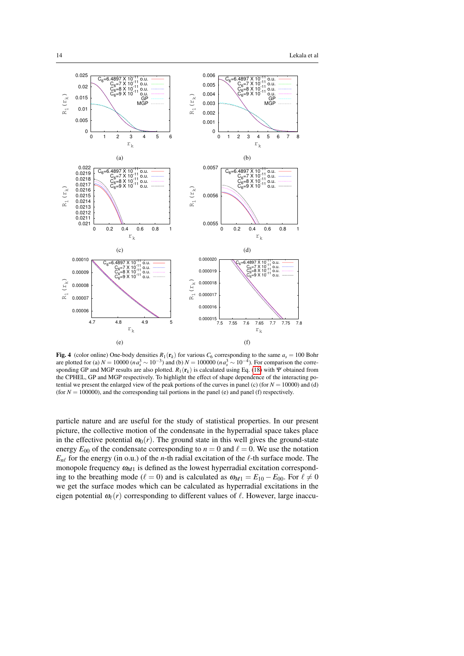

<span id="page-13-0"></span>**Fig. 4** (color online) One-body densities  $R_1(\mathbf{r}_k)$  for various  $C_6$  corresponding to the same  $a_s = 100$  Bohr are plotted for (a)  $N = 10000$  ( $na_s^3 \sim 10^{-3}$ ) and (b)  $N = 100000$  ( $na_s^3 \sim 10^{-4}$ ). For comparison the corresponding GP and MGP results are also plotted.  $R_1(r_k)$  is calculated using Eq. [\(18\)](#page-11-1) with Ψ obtained from the CPHEL, GP and MGP respectively. To highlight the effect of shape dependence of the interacting potential we present the enlarged view of the peak portions of the curves in panel (c) (for  $N = 10000$ ) and (d) (for  $N = 100000$ ), and the corresponding tail portions in the panel (e) and panel (f) respectively.

particle nature and are useful for the study of statistical properties. In our present picture, the collective motion of the condensate in the hyperradial space takes place in the effective potential  $\omega_0(r)$ . The ground state in this well gives the ground-state energy  $E_{00}$  of the condensate corresponding to  $n = 0$  and  $\ell = 0$ . We use the notation  $E_{n\ell}$  for the energy (in o.u.) of the *n*-th radial excitation of the  $\ell$ -th surface mode. The monopole frequency  $\omega_{M1}$  is defined as the lowest hyperradial excitation corresponding to the breathing mode ( $\ell = 0$ ) and is calculated as  $\omega_{M1} = E_{10} - E_{00}$ . For  $\ell \neq 0$ we get the surface modes which can be calculated as hyperradial excitations in the eigen potential  $\omega_{\ell}(r)$  corresponding to different values of  $\ell$ . However, large inaccu-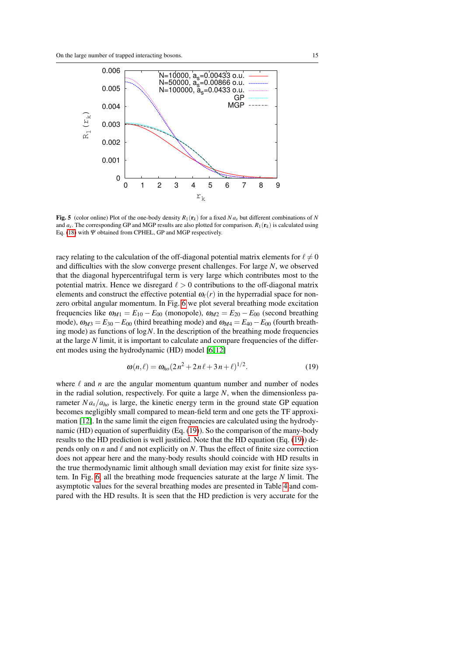

<span id="page-14-0"></span>**Fig. 5** (color online) Plot of the one-body density  $R_1(\mathbf{r}_k)$  for a fixed  $N a_s$  but different combinations of N and  $a_s$ . The corresponding GP and MGP results are also plotted for comparison.  $R_1(\mathbf{r}_k)$  is calculated using Eq. [\(18\)](#page-11-1) with  $\Psi$  obtained from CPHEL, GP and MGP respectively.

racy relating to the calculation of the off-diagonal potential matrix elements for  $\ell \neq 0$ and difficulties with the slow converge present challenges. For large *N*, we observed that the diagonal hypercentrifugal term is very large which contributes most to the potential matrix. Hence we disregard  $\ell > 0$  contributions to the off-diagonal matrix elements and construct the effective potential  $\omega_{\ell}(r)$  in the hyperradial space for nonzero orbital angular momentum. In Fig. [6](#page-15-0) we plot several breathing mode excitation frequencies like  $\omega_{M1} = E_{10} - E_{00}$  (monopole),  $\omega_{M2} = E_{20} - E_{00}$  (second breathing mode),  $\omega_{M3} = E_{30} - E_{00}$  (third breathing mode) and  $\omega_{M4} = E_{40} - E_{00}$  (fourth breathing mode) as functions of log*N*. In the description of the breathing mode frequencies at the large *N* limit, it is important to calculate and compare frequencies of the different modes using the hydrodynamic (HD) model [\[6,](#page-17-5) [12\]](#page-17-11)

<span id="page-14-1"></span>
$$
\omega(n,\ell) = \omega_{ho}(2n^2 + 2n\ell + 3n + \ell)^{1/2}.
$$
 (19)

where  $\ell$  and *n* are the angular momentum quantum number and number of nodes in the radial solution, respectively. For quite a large *N*, when the dimensionless parameter  $N a_s/a_{ho}$  is large, the kinetic energy term in the ground state GP equation becomes negligibly small compared to mean-field term and one gets the TF approximation [\[12\]](#page-17-11). In the same limit the eigen frequencies are calculated using the hydrodynamic (HD) equation of superfluidity (Eq. [\(19\)](#page-14-1)). So the comparison of the many-body results to the HD prediction is well justified. Note that the HD equation (Eq. [\(19\)](#page-14-1)) depends only on  $n$  and  $\ell$  and not explicitly on  $N$ . Thus the effect of finite size correction does not appear here and the many-body results should coincide with HD results in the true thermodynamic limit although small deviation may exist for finite size system. In Fig. [6,](#page-15-0) all the breathing mode frequencies saturate at the large *N* limit. The asymptotic values for the several breathing modes are presented in Table [4](#page-15-1) and compared with the HD results. It is seen that the HD prediction is very accurate for the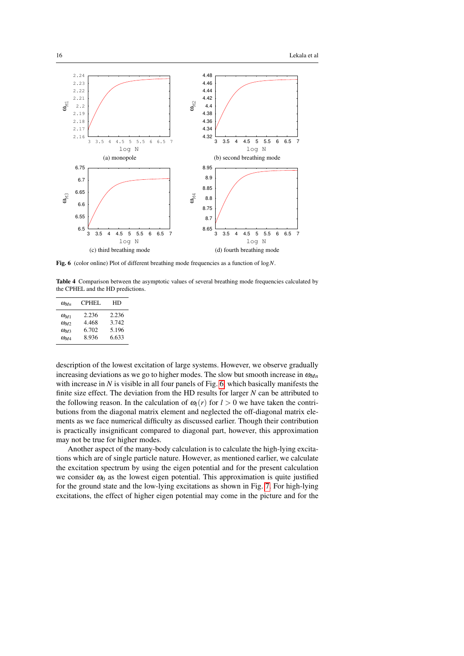

<span id="page-15-0"></span>Fig. 6 (color online) Plot of different breathing mode frequencies as a function of log*N*.

<span id="page-15-1"></span>Table 4 Comparison between the asymptotic values of several breathing mode frequencies calculated by the CPHEL and the HD predictions.

| $\omega_{Mn}$ | CPHEL | HD    |
|---------------|-------|-------|
| $\omega_{M1}$ | 2.236 | 2.236 |
| $\omega_{M2}$ | 4.468 | 3.742 |
| $\omega_{M3}$ | 6.702 | 5.196 |
| $\omega_{M4}$ | 8.936 | 6.633 |

description of the lowest excitation of large systems. However, we observe gradually increasing deviations as we go to higher modes. The slow but smooth increase in  $\omega_{Mn}$ with increase in *N* is visible in all four panels of Fig. [6,](#page-15-0) which basically manifests the finite size effect. The deviation from the HD results for larger *N* can be attributed to the following reason. In the calculation of  $\omega_l(r)$  for  $l > 0$  we have taken the contributions from the diagonal matrix element and neglected the off-diagonal matrix elements as we face numerical difficulty as discussed earlier. Though their contribution is practically insignificant compared to diagonal part, however, this approximation may not be true for higher modes.

Another aspect of the many-body calculation is to calculate the high-lying excitations which are of single particle nature. However, as mentioned earlier, we calculate the excitation spectrum by using the eigen potential and for the present calculation we consider  $\omega_0$  as the lowest eigen potential. This approximation is quite justified for the ground state and the low-lying excitations as shown in Fig. [7.](#page-16-1) For high-lying excitations, the effect of higher eigen potential may come in the picture and for the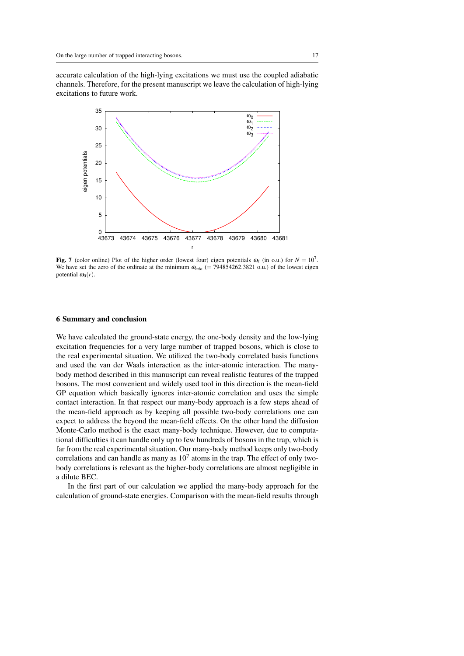accurate calculation of the high-lying excitations we must use the coupled adiabatic channels. Therefore, for the present manuscript we leave the calculation of high-lying excitations to future work.



<span id="page-16-1"></span>Fig. 7 (color online) Plot of the higher order (lowest four) eigen potentials  $\omega_\ell$  (in o.u.) for  $N = 10^7$ . We have set the zero of the ordinate at the minimum  $\omega_{min}$  (= 794854262.3821 o.u.) of the lowest eigen potential  $\omega_0(r)$ .

## <span id="page-16-0"></span>6 Summary and conclusion

We have calculated the ground-state energy, the one-body density and the low-lying excitation frequencies for a very large number of trapped bosons, which is close to the real experimental situation. We utilized the two-body correlated basis functions and used the van der Waals interaction as the inter-atomic interaction. The manybody method described in this manuscript can reveal realistic features of the trapped bosons. The most convenient and widely used tool in this direction is the mean-field GP equation which basically ignores inter-atomic correlation and uses the simple contact interaction. In that respect our many-body approach is a few steps ahead of the mean-field approach as by keeping all possible two-body correlations one can expect to address the beyond the mean-field effects. On the other hand the diffusion Monte-Carlo method is the exact many-body technique. However, due to computational difficulties it can handle only up to few hundreds of bosons in the trap, which is far from the real experimental situation. Our many-body method keeps only two-body correlations and can handle as many as  $10<sup>7</sup>$  atoms in the trap. The effect of only twobody correlations is relevant as the higher-body correlations are almost negligible in a dilute BEC.

In the first part of our calculation we applied the many-body approach for the calculation of ground-state energies. Comparison with the mean-field results through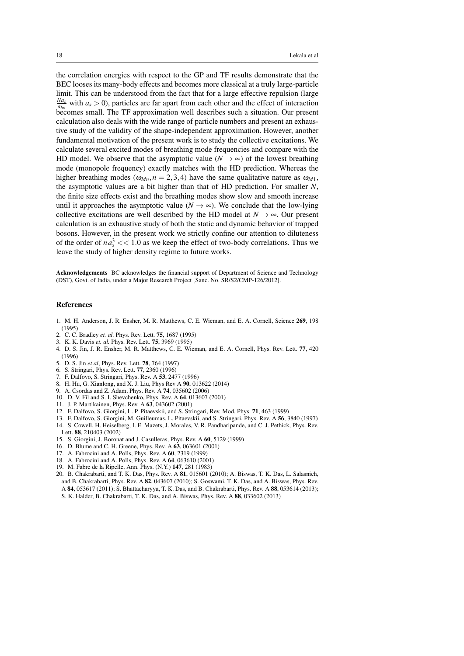the correlation energies with respect to the GP and TF results demonstrate that the BEC looses its many-body effects and becomes more classical at a truly large-particle limit. This can be understood from the fact that for a large effective repulsion (large  $\frac{N a_s}{a_{ho}}$  with  $a_s > 0$ ), particles are far apart from each other and the effect of interaction becomes small. The TF approximation well describes such a situation. Our present calculation also deals with the wide range of particle numbers and present an exhaustive study of the validity of the shape-independent approximation. However, another fundamental motivation of the present work is to study the collective excitations. We calculate several excited modes of breathing mode frequencies and compare with the HD model. We observe that the asymptotic value ( $N \rightarrow \infty$ ) of the lowest breathing mode (monopole frequency) exactly matches with the HD prediction. Whereas the higher breathing modes ( $\omega_{Mn}$ ,  $n = 2, 3, 4$ ) have the same qualitative nature as  $\omega_{M1}$ , the asymptotic values are a bit higher than that of HD prediction. For smaller *N*, the finite size effects exist and the breathing modes show slow and smooth increase until it approaches the asymptotic value ( $N \rightarrow \infty$ ). We conclude that the low-lying collective excitations are well described by the HD model at  $N \rightarrow \infty$ . Our present calculation is an exhaustive study of both the static and dynamic behavior of trapped bosons. However, in the present work we strictly confine our attention to diluteness of the order of  $na_s^3 \ll 1.0$  as we keep the effect of two-body correlations. Thus we leave the study of higher density regime to future works.

Acknowledgements BC acknowledges the financial support of Department of Science and Technology (DST), Govt. of India, under a Major Research Project [Sanc. No. SR/S2/CMP-126/2012].

## References

- <span id="page-17-0"></span>1. M. H. Anderson, J. R. Ensher, M. R. Matthews, C. E. Wieman, and E. A. Cornell, Science 269, 198 (1995)
- <span id="page-17-1"></span>2. C. C. Bradley *et. al.* Phys. Rev. Lett. 75, 1687 (1995)
- <span id="page-17-2"></span>3. K. K. Davis *et. al.* Phys. Rev. Lett. 75, 3969 (1995)
- <span id="page-17-3"></span>4. D. S. Jin, J. R. Ensher, M. R. Matthews, C. E. Wieman, and E. A. Cornell, Phys. Rev. Lett. 77, 420 (1996)
- <span id="page-17-4"></span>5. D. S. Jin *et al*, Phys. Rev. Lett. 78, 764 (1997)
- <span id="page-17-5"></span>6. S. Stringari, Phys. Rev. Lett. 77, 2360 (1996)
- <span id="page-17-6"></span>7. F. Dalfovo, S. Stringari, Phys. Rev. A 53, 2477 (1996)
- <span id="page-17-7"></span>8. H. Hu, G. Xianlong, and X. J. Liu, Phys Rev A 90, 013622 (2014)
- <span id="page-17-8"></span>9. A. Csordas and Z. Adam, Phys. Rev. A 74, 035602 (2006)
- <span id="page-17-9"></span>10. D. V. Fil and S. I. Shevchenko, Phys. Rev. A 64, 013607 (2001)
- <span id="page-17-10"></span>11. J. P. Martikainen, Phys. Rev. A 63, 043602 (2001)
- <span id="page-17-11"></span>12. F. Dalfovo, S. Giorgini, L. P. Pitaevskii, and S. Stringari, Rev. Mod. Phys. 71, 463 (1999)
- <span id="page-17-12"></span>13. F. Dalfovo, S. Giorgini, M. Guilleumas, L. Pitaevskii, and S. Stringari, Phys. Rev. A 56, 3840 (1997)
- <span id="page-17-13"></span>14. S. Cowell, H. Heiselberg, I. E. Mazets, J. Morales, V. R. Pandharipande, and C. J. Pethick, Phys. Rev. Lett. 88, 210403 (2002)
- <span id="page-17-14"></span>15. S. Giorgini, J. Boronat and J. Casulleras, Phys. Rev. A 60, 5129 (1999)
- <span id="page-17-15"></span>16. D. Blume and C. H. Greene, Phys. Rev. A 63, 063601 (2001)
- <span id="page-17-16"></span>17. A. Fabrocini and A. Polls, Phys. Rev. A 60, 2319 (1999)
- <span id="page-17-17"></span>18. A. Fabrocini and A. Polls, Phys. Rev. A 64, 063610 (2001)
- <span id="page-17-18"></span>19. M. Fabre de la Ripelle, Ann. Phys. (N.Y.) 147, 281 (1983)
- <span id="page-17-19"></span>20. B. Chakrabarti, and T. K. Das, Phys. Rev. A 81, 015601 (2010); A. Biswas, T. K. Das, L. Salasnich, and B. Chakrabarti, Phys. Rev. A 82, 043607 (2010); S. Goswami, T. K. Das, and A. Biswas, Phys. Rev. A 84, 053617 (2011); S. Bhattacharyya, T. K. Das, and B. Chakrabarti, Phys. Rev. A 88, 053614 (2013);
	- S. K. Halder, B. Chakrabarti, T. K. Das, and A. Biswas, Phys. Rev. A 88, 033602 (2013)